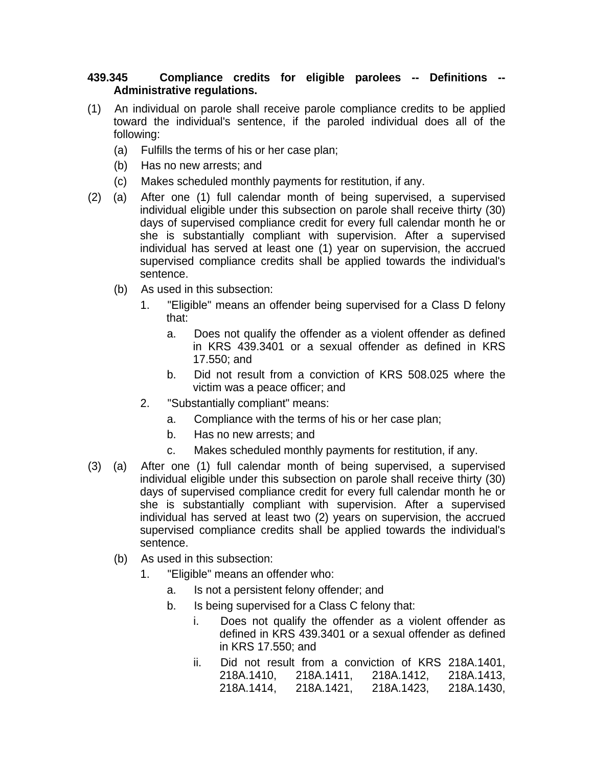## **439.345 Compliance credits for eligible parolees -- Definitions -- Administrative regulations.**

- (1) An individual on parole shall receive parole compliance credits to be applied toward the individual's sentence, if the paroled individual does all of the following:
	- (a) Fulfills the terms of his or her case plan;
	- (b) Has no new arrests; and
	- (c) Makes scheduled monthly payments for restitution, if any.
- (2) (a) After one (1) full calendar month of being supervised, a supervised individual eligible under this subsection on parole shall receive thirty (30) days of supervised compliance credit for every full calendar month he or she is substantially compliant with supervision. After a supervised individual has served at least one (1) year on supervision, the accrued supervised compliance credits shall be applied towards the individual's sentence.
	- (b) As used in this subsection:
		- 1. "Eligible" means an offender being supervised for a Class D felony that:
			- a. Does not qualify the offender as a violent offender as defined in KRS 439.3401 or a sexual offender as defined in KRS 17.550; and
			- b. Did not result from a conviction of KRS 508.025 where the victim was a peace officer; and
		- 2. "Substantially compliant" means:
			- a. Compliance with the terms of his or her case plan;
			- b. Has no new arrests; and
			- c. Makes scheduled monthly payments for restitution, if any.
- (3) (a) After one (1) full calendar month of being supervised, a supervised individual eligible under this subsection on parole shall receive thirty (30) days of supervised compliance credit for every full calendar month he or she is substantially compliant with supervision. After a supervised individual has served at least two (2) years on supervision, the accrued supervised compliance credits shall be applied towards the individual's sentence.
	- (b) As used in this subsection:
		- 1. "Eligible" means an offender who:
			- a. Is not a persistent felony offender; and
			- b. Is being supervised for a Class C felony that:
				- i. Does not qualify the offender as a violent offender as defined in KRS 439.3401 or a sexual offender as defined in KRS 17.550; and
				- ii. Did not result from a conviction of KRS 218A.1401, 218A.1410, 218A.1411, 218A.1412, 218A.1413, 218A.1414, 218A.1421, 218A.1423, 218A.1430,